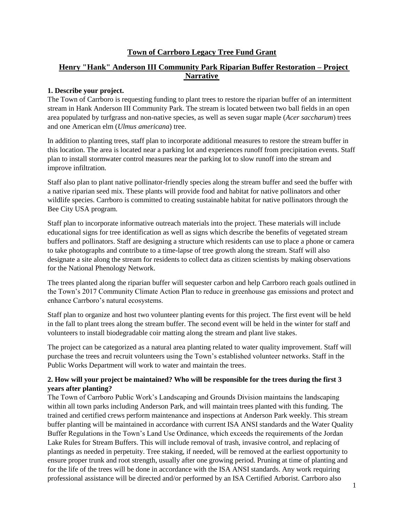# **Town of Carrboro Legacy Tree Fund Grant**

# **Henry "Hank" Anderson III Community Park Riparian Buffer Restoration – Project Narrative**

#### **1. Describe your project.**

The Town of Carrboro is requesting funding to plant trees to restore the riparian buffer of an intermittent stream in Hank Anderson III Community Park. The stream is located between two ball fields in an open area populated by turfgrass and non-native species, as well as seven sugar maple (*Acer saccharum*) trees and one American elm (*Ulmus americana*) tree.

In addition to planting trees, staff plan to incorporate additional measures to restore the stream buffer in this location. The area is located near a parking lot and experiences runoff from precipitation events. Staff plan to install stormwater control measures near the parking lot to slow runoff into the stream and improve infiltration.

Staff also plan to plant native pollinator-friendly species along the stream buffer and seed the buffer with a native riparian seed mix. These plants will provide food and habitat for native pollinators and other wildlife species. Carrboro is committed to creating sustainable habitat for native pollinators through the Bee City USA program.

Staff plan to incorporate informative outreach materials into the project. These materials will include educational signs for tree identification as well as signs which describe the benefits of vegetated stream buffers and pollinators. Staff are designing a structure which residents can use to place a phone or camera to take photographs and contribute to a time-lapse of tree growth along the stream. Staff will also designate a site along the stream for residents to collect data as citizen scientists by making observations for the National Phenology Network.

The trees planted along the riparian buffer will sequester carbon and help Carrboro reach goals outlined in the Town's 2017 Community Climate Action Plan to reduce in greenhouse gas emissions and protect and enhance Carrboro's natural ecosystems.

Staff plan to organize and host two volunteer planting events for this project. The first event will be held in the fall to plant trees along the stream buffer. The second event will be held in the winter for staff and volunteers to install biodegradable coir matting along the stream and plant live stakes.

The project can be categorized as a natural area planting related to water quality improvement. Staff will purchase the trees and recruit volunteers using the Town's established volunteer networks. Staff in the Public Works Department will work to water and maintain the trees.

## **2. How will your project be maintained? Who will be responsible for the trees during the first 3 years after planting?**

The Town of Carrboro Public Work's Landscaping and Grounds Division maintains the landscaping within all town parks including Anderson Park, and will maintain trees planted with this funding. The trained and certified crews perform maintenance and inspections at Anderson Park weekly. This stream buffer planting will be maintained in accordance with current ISA ANSI standards and the Water Quality Buffer Regulations in the Town's Land Use Ordinance, which exceeds the requirements of the Jordan Lake Rules for Stream Buffers. This will include removal of trash, invasive control, and replacing of plantings as needed in perpetuity. Tree staking, if needed, will be removed at the earliest opportunity to ensure proper trunk and root strength, usually after one growing period. Pruning at time of planting and for the life of the trees will be done in accordance with the ISA ANSI standards. Any work requiring professional assistance will be directed and/or performed by an ISA Certified Arborist. Carrboro also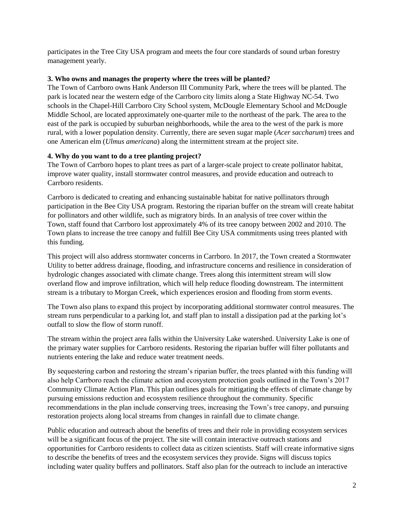participates in the Tree City USA program and meets the four core standards of sound urban forestry management yearly.

#### **3. Who owns and manages the property where the trees will be planted?**

The Town of Carrboro owns Hank Anderson III Community Park, where the trees will be planted. The park is located near the western edge of the Carrboro city limits along a State Highway NC-54. Two schools in the Chapel-Hill Carrboro City School system, McDougle Elementary School and McDougle Middle School, are located approximately one-quarter mile to the northeast of the park. The area to the east of the park is occupied by suburban neighborhoods, while the area to the west of the park is more rural, with a lower population density. Currently, there are seven sugar maple (*Acer saccharum*) trees and one American elm (*Ulmus americana*) along the intermittent stream at the project site.

## **4. Why do you want to do a tree planting project?**

The Town of Carrboro hopes to plant trees as part of a larger-scale project to create pollinator habitat, improve water quality, install stormwater control measures, and provide education and outreach to Carrboro residents.

Carrboro is dedicated to creating and enhancing sustainable habitat for native pollinators through participation in the Bee City USA program. Restoring the riparian buffer on the stream will create habitat for pollinators and other wildlife, such as migratory birds. In an analysis of tree cover within the Town, staff found that Carrboro lost approximately 4% of its tree canopy between 2002 and 2010. The Town plans to increase the tree canopy and fulfill Bee City USA commitments using trees planted with this funding.

This project will also address stormwater concerns in Carrboro. In 2017, the Town created a Stormwater Utility to better address drainage, flooding, and infrastructure concerns and resilience in consideration of hydrologic changes associated with climate change. Trees along this intermittent stream will slow overland flow and improve infiltration, which will help reduce flooding downstream. The intermittent stream is a tributary to Morgan Creek, which experiences erosion and flooding from storm events.

The Town also plans to expand this project by incorporating additional stormwater control measures. The stream runs perpendicular to a parking lot, and staff plan to install a dissipation pad at the parking lot's outfall to slow the flow of storm runoff.

The stream within the project area falls within the University Lake watershed. University Lake is one of the primary water supplies for Carrboro residents. Restoring the riparian buffer will filter pollutants and nutrients entering the lake and reduce water treatment needs.

By sequestering carbon and restoring the stream's riparian buffer, the trees planted with this funding will also help Carrboro reach the climate action and ecosystem protection goals outlined in the Town's 2017 Community Climate Action Plan. This plan outlines goals for mitigating the effects of climate change by pursuing emissions reduction and ecosystem resilience throughout the community. Specific recommendations in the plan include conserving trees, increasing the Town's tree canopy, and pursuing restoration projects along local streams from changes in rainfall due to climate change.

Public education and outreach about the benefits of trees and their role in providing ecosystem services will be a significant focus of the project. The site will contain interactive outreach stations and opportunities for Carrboro residents to collect data as citizen scientists. Staff will create informative signs to describe the benefits of trees and the ecosystem services they provide. Signs will discuss topics including water quality buffers and pollinators. Staff also plan for the outreach to include an interactive